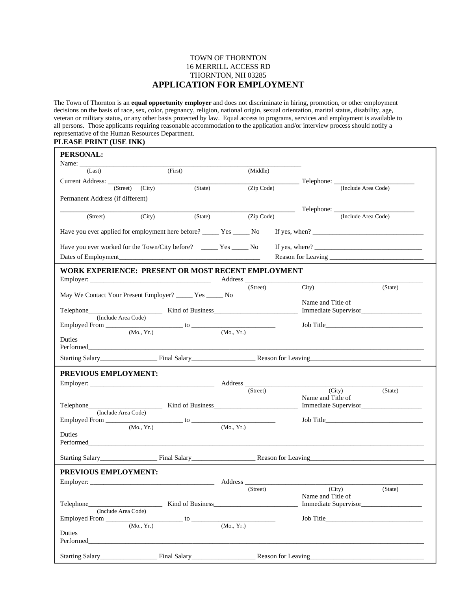## TOWN OF THORNTON 16 MERRILL ACCESS RD THORNTON, NH 03285 **APPLICATION FOR EMPLOYMENT**

The Town of Thornton is an **equal opportunity employer** and does not discriminate in hiring, promotion, or other employment decisions on the basis of race, sex, color, pregnancy, religion, national origin, sexual orientation, marital status, disability, age, veteran or military status, or any other basis protected by law. Equal access to programs, services and employment is available to all persons. Those applicants requiring reasonable accommodation to the application and/or interview process should notify a representative of the Human Resources Department.

## **PLEASE PRINT (USE INK)**

| <b>PERSONAL:</b>                                                                                                                                                                                                                               |                                                              |                                                                       |                                                                                                                                                                                                                                      |                                                                                                                                                                                                                                                                                           |         |  |
|------------------------------------------------------------------------------------------------------------------------------------------------------------------------------------------------------------------------------------------------|--------------------------------------------------------------|-----------------------------------------------------------------------|--------------------------------------------------------------------------------------------------------------------------------------------------------------------------------------------------------------------------------------|-------------------------------------------------------------------------------------------------------------------------------------------------------------------------------------------------------------------------------------------------------------------------------------------|---------|--|
| Name: $\_\_$<br>(Last)                                                                                                                                                                                                                         | (First)                                                      | (Middle)                                                              |                                                                                                                                                                                                                                      |                                                                                                                                                                                                                                                                                           |         |  |
| Current Address:                                                                                                                                                                                                                               |                                                              |                                                                       |                                                                                                                                                                                                                                      |                                                                                                                                                                                                                                                                                           |         |  |
| (Street)                                                                                                                                                                                                                                       | (City)<br>(State)                                            |                                                                       | (Zip Code)                                                                                                                                                                                                                           | (Include Area Code)                                                                                                                                                                                                                                                                       |         |  |
| Permanent Address (if different)                                                                                                                                                                                                               |                                                              |                                                                       |                                                                                                                                                                                                                                      |                                                                                                                                                                                                                                                                                           |         |  |
|                                                                                                                                                                                                                                                |                                                              |                                                                       | <u> The Common State State State State State State State State State State State State State State State State State State State State State State State State State State State State State State State State State State State</u> |                                                                                                                                                                                                                                                                                           |         |  |
| (Street)                                                                                                                                                                                                                                       | (City)<br>(State)                                            |                                                                       | (Zip Code)                                                                                                                                                                                                                           | (Include Area Code)                                                                                                                                                                                                                                                                       |         |  |
| Have you ever applied for employment here before? ______ Yes ______ No                                                                                                                                                                         |                                                              |                                                                       |                                                                                                                                                                                                                                      | If yes, when? $\frac{1}{2}$ and $\frac{1}{2}$ and $\frac{1}{2}$ and $\frac{1}{2}$ and $\frac{1}{2}$ and $\frac{1}{2}$ and $\frac{1}{2}$ and $\frac{1}{2}$ and $\frac{1}{2}$ and $\frac{1}{2}$ and $\frac{1}{2}$ and $\frac{1}{2}$ and $\frac{1}{2}$ and $\frac{1}{2}$ and $\frac{1}{2}$ a |         |  |
| Have you ever worked for the Town/City before? _____ Yes _____ No                                                                                                                                                                              |                                                              |                                                                       |                                                                                                                                                                                                                                      |                                                                                                                                                                                                                                                                                           |         |  |
|                                                                                                                                                                                                                                                |                                                              |                                                                       |                                                                                                                                                                                                                                      |                                                                                                                                                                                                                                                                                           |         |  |
|                                                                                                                                                                                                                                                | WORK EXPERIENCE: PRESENT OR MOST RECENT EMPLOYMENT           |                                                                       |                                                                                                                                                                                                                                      |                                                                                                                                                                                                                                                                                           |         |  |
|                                                                                                                                                                                                                                                |                                                              | Address_                                                              |                                                                                                                                                                                                                                      |                                                                                                                                                                                                                                                                                           |         |  |
|                                                                                                                                                                                                                                                | May We Contact Your Present Employer? _______ Yes _______ No |                                                                       | (Street)                                                                                                                                                                                                                             | City)                                                                                                                                                                                                                                                                                     | (State) |  |
|                                                                                                                                                                                                                                                |                                                              |                                                                       |                                                                                                                                                                                                                                      | Name and Title of                                                                                                                                                                                                                                                                         |         |  |
| (Include Area Code)                                                                                                                                                                                                                            |                                                              |                                                                       |                                                                                                                                                                                                                                      | Immediate Supervisor                                                                                                                                                                                                                                                                      |         |  |
|                                                                                                                                                                                                                                                |                                                              |                                                                       |                                                                                                                                                                                                                                      | Job Title                                                                                                                                                                                                                                                                                 |         |  |
| Duties                                                                                                                                                                                                                                         | (Mo., Yr.)                                                   | (Mo., Yr.)                                                            |                                                                                                                                                                                                                                      |                                                                                                                                                                                                                                                                                           |         |  |
|                                                                                                                                                                                                                                                | Performed Performed                                          |                                                                       |                                                                                                                                                                                                                                      |                                                                                                                                                                                                                                                                                           |         |  |
|                                                                                                                                                                                                                                                |                                                              | Starting Salary<br>Final Salary<br>Final Salary<br>Reason for Leaving |                                                                                                                                                                                                                                      |                                                                                                                                                                                                                                                                                           |         |  |
| <b>PREVIOUS EMPLOYMENT:</b>                                                                                                                                                                                                                    |                                                              |                                                                       |                                                                                                                                                                                                                                      |                                                                                                                                                                                                                                                                                           |         |  |
|                                                                                                                                                                                                                                                | Employer:                                                    |                                                                       |                                                                                                                                                                                                                                      |                                                                                                                                                                                                                                                                                           |         |  |
|                                                                                                                                                                                                                                                |                                                              |                                                                       | (Street)                                                                                                                                                                                                                             | (City)<br>Name and Title of                                                                                                                                                                                                                                                               | (State) |  |
| Telephone                                                                                                                                                                                                                                      | Kind of Business                                             |                                                                       |                                                                                                                                                                                                                                      | Immediate Supervisor                                                                                                                                                                                                                                                                      |         |  |
| (Include Area Code)                                                                                                                                                                                                                            |                                                              |                                                                       |                                                                                                                                                                                                                                      |                                                                                                                                                                                                                                                                                           |         |  |
|                                                                                                                                                                                                                                                | (Mo., Yr.)                                                   | (Mo., Yr.)                                                            |                                                                                                                                                                                                                                      | Job Title                                                                                                                                                                                                                                                                                 |         |  |
| Duties                                                                                                                                                                                                                                         |                                                              |                                                                       |                                                                                                                                                                                                                                      |                                                                                                                                                                                                                                                                                           |         |  |
| Performed and the contract of the contract of the contract of the contract of the contract of the contract of the contract of the contract of the contract of the contract of the contract of the contract of the contract of                  |                                                              |                                                                       |                                                                                                                                                                                                                                      |                                                                                                                                                                                                                                                                                           |         |  |
| Starting Salary                                                                                                                                                                                                                                |                                                              | Final Salary Reason for Leaving                                       |                                                                                                                                                                                                                                      |                                                                                                                                                                                                                                                                                           |         |  |
| PREVIOUS EMPLOYMENT:                                                                                                                                                                                                                           |                                                              |                                                                       |                                                                                                                                                                                                                                      |                                                                                                                                                                                                                                                                                           |         |  |
| Employer:                                                                                                                                                                                                                                      |                                                              | Address                                                               |                                                                                                                                                                                                                                      |                                                                                                                                                                                                                                                                                           |         |  |
|                                                                                                                                                                                                                                                |                                                              |                                                                       | (Street)                                                                                                                                                                                                                             | (City)                                                                                                                                                                                                                                                                                    | (State) |  |
|                                                                                                                                                                                                                                                |                                                              |                                                                       |                                                                                                                                                                                                                                      | Name and Title of<br>Immediate Supervisor                                                                                                                                                                                                                                                 |         |  |
| (Include Area Code)                                                                                                                                                                                                                            |                                                              |                                                                       |                                                                                                                                                                                                                                      |                                                                                                                                                                                                                                                                                           |         |  |
|                                                                                                                                                                                                                                                |                                                              |                                                                       |                                                                                                                                                                                                                                      |                                                                                                                                                                                                                                                                                           |         |  |
|                                                                                                                                                                                                                                                |                                                              |                                                                       |                                                                                                                                                                                                                                      |                                                                                                                                                                                                                                                                                           |         |  |
| Duties<br>Performed <b>Executive Contract Contract Contract Contract Contract Contract Contract Contract Contract Contract Contract Contract Contract Contract Contract Contract Contract Contract Contract Contract Contract Contract Con</b> | (Mo., Yr.)                                                   | (Mo., Yr.)                                                            |                                                                                                                                                                                                                                      |                                                                                                                                                                                                                                                                                           |         |  |